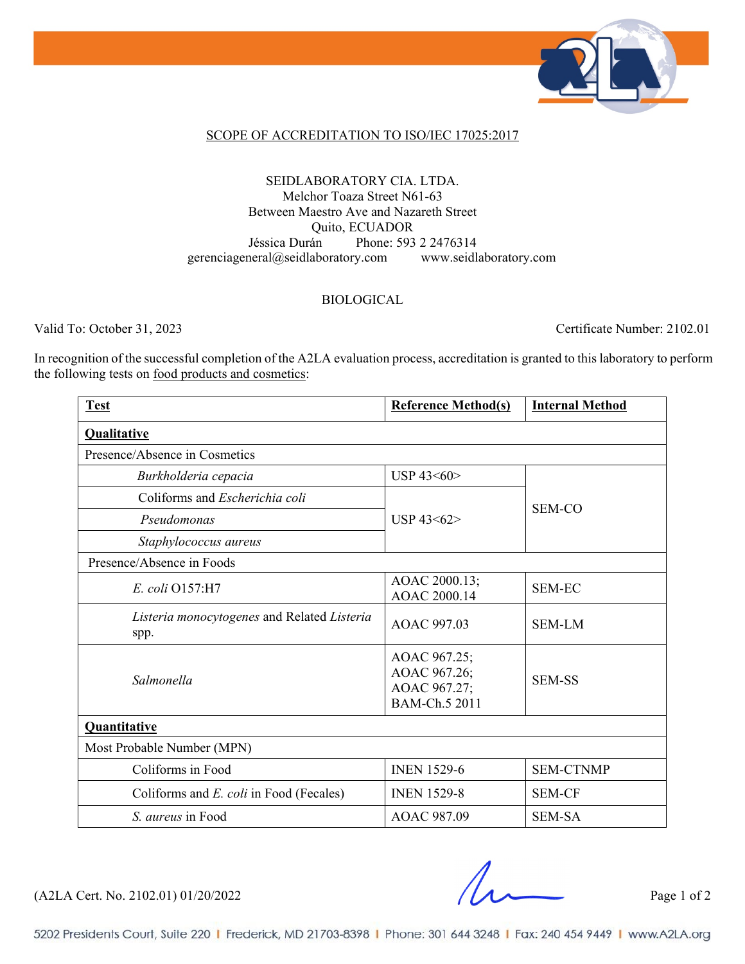

#### SCOPE OF ACCREDITATION TO ISO/IEC 17025:2017

### SEIDLABORATORY CIA. LTDA. Melchor Toaza Street N61-63 Between Maestro Ave and Nazareth Street Quito, ECUADOR Jéssica Durán Phone: 593 2 2476314 gerenciageneral@seidlaboratory.com www.seidlaboratory.com

### BIOLOGICAL

Valid To: October 31, 2023 Certificate Number: 2102.01

In recognition of the successful completion of the A2LA evaluation process, accreditation is granted to this laboratory to perform the following tests on food products and cosmetics:

| <b>Test</b>                                         | <b>Reference Method(s)</b>                                    | <b>Internal Method</b> |  |
|-----------------------------------------------------|---------------------------------------------------------------|------------------------|--|
| <b>Qualitative</b>                                  |                                                               |                        |  |
| Presence/Absence in Cosmetics                       |                                                               |                        |  |
| Burkholderia cepacia                                | USP 43<60>                                                    | <b>SEM-CO</b>          |  |
| Coliforms and <i>Escherichia coli</i>               | USP 43<62>                                                    |                        |  |
| Pseudomonas                                         |                                                               |                        |  |
| Staphylococcus aureus                               |                                                               |                        |  |
| Presence/Absence in Foods                           |                                                               |                        |  |
| E. coli Q157:H7                                     | AOAC 2000.13;<br>AOAC 2000.14                                 | <b>SEM-EC</b>          |  |
| Listeria monocytogenes and Related Listeria<br>spp. | AOAC 997.03                                                   | <b>SEM-LM</b>          |  |
| Salmonella                                          | AOAC 967.25;<br>AOAC 967.26;<br>AOAC 967.27;<br>BAM-Ch.5 2011 | <b>SEM-SS</b>          |  |
| Quantitative                                        |                                                               |                        |  |
| Most Probable Number (MPN)                          |                                                               |                        |  |
| Coliforms in Food                                   | <b>INEN 1529-6</b>                                            | <b>SEM-CTNMP</b>       |  |
| Coliforms and E. coli in Food (Fecales)             | <b>INEN 1529-8</b>                                            | <b>SEM-CF</b>          |  |
| <i>S. aureus</i> in Food                            | AOAC 987.09                                                   | <b>SEM-SA</b>          |  |

(A2LA Cert. No. 2102.01) 01/20/2022 Page 1 of 2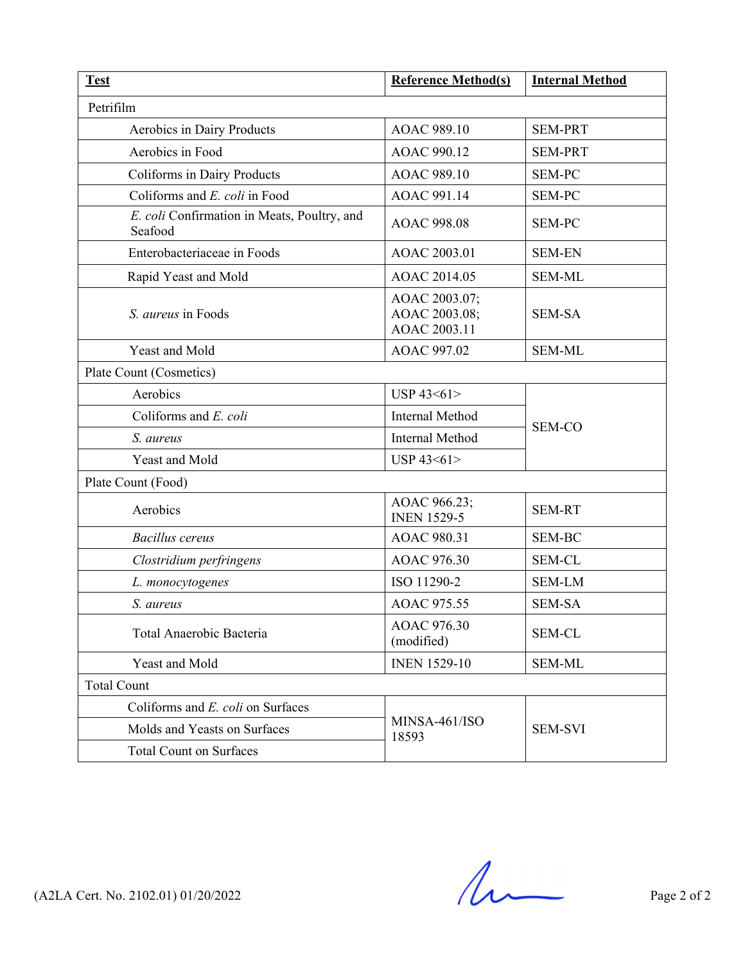| <b>Test</b>                                            | <b>Reference Method(s)</b>                     | <b>Internal Method</b> |
|--------------------------------------------------------|------------------------------------------------|------------------------|
| Petrifilm                                              |                                                |                        |
| Aerobics in Dairy Products                             | AOAC 989.10                                    | <b>SEM-PRT</b>         |
| Aerobics in Food                                       | AOAC 990.12                                    | <b>SEM-PRT</b>         |
| Coliforms in Dairy Products                            | AOAC 989.10                                    | <b>SEM-PC</b>          |
| Coliforms and E. coli in Food                          | AOAC 991.14                                    | <b>SEM-PC</b>          |
| E. coli Confirmation in Meats, Poultry, and<br>Seafood | AOAC 998.08                                    | <b>SEM-PC</b>          |
| Enterobacteriaceae in Foods                            | AOAC 2003.01                                   | <b>SEM-EN</b>          |
| Rapid Yeast and Mold                                   | AOAC 2014.05                                   | <b>SEM-ML</b>          |
| S. <i>aureus</i> in Foods                              | AOAC 2003.07;<br>AOAC 2003.08;<br>AOAC 2003.11 | <b>SEM-SA</b>          |
| Yeast and Mold                                         | AOAC 997.02                                    | <b>SEM-ML</b>          |
| Plate Count (Cosmetics)                                |                                                |                        |
| Aerobics                                               | USP 43<61>                                     | <b>SEM-CO</b>          |
| Coliforms and $E$ . coli                               | <b>Internal Method</b>                         |                        |
| S. aureus                                              | Internal Method                                |                        |
| Yeast and Mold                                         | USP 43<61>                                     |                        |
| Plate Count (Food)                                     |                                                |                        |
| Aerobics                                               | AOAC 966.23;<br><b>INEN 1529-5</b>             | <b>SEM-RT</b>          |
| <b>Bacillus</b> cereus                                 | AOAC 980.31                                    | <b>SEM-BC</b>          |
| Clostridium perfringens                                | AOAC 976.30                                    | <b>SEM-CL</b>          |
| L. monocytogenes                                       | ISO 11290-2                                    | <b>SEM-LM</b>          |
| S. aureus                                              | AOAC 975.55                                    | <b>SEM-SA</b>          |
| Total Anaerobic Bacteria                               | AOAC 976.30<br>(modified)                      | <b>SEM-CL</b>          |
| Yeast and Mold                                         | <b>INEN 1529-10</b>                            | <b>SEM-ML</b>          |
| <b>Total Count</b>                                     |                                                |                        |
| Coliforms and E. coli on Surfaces                      | MINSA-461/ISO<br>18593                         | <b>SEM-SVI</b>         |
| Molds and Yeasts on Surfaces                           |                                                |                        |
| <b>Total Count on Surfaces</b>                         |                                                |                        |

 $(A2LA$  Cert. No. 2102.01) 01/20/2022 Page 2 of 2